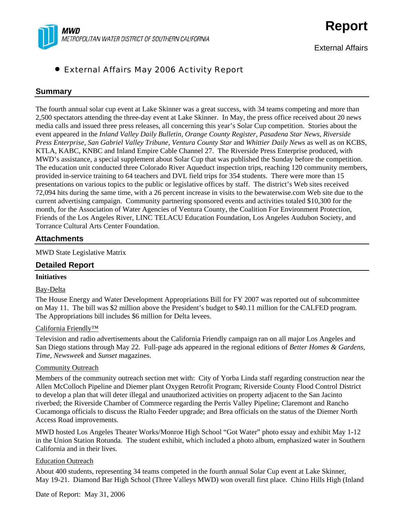

External Affairs

# • External Affairs May 2006 Activity Report

### **Summary**

The fourth annual solar cup event at Lake Skinner was a great success, with 34 teams competing and more than 2,500 spectators attending the three-day event at Lake Skinner. In May, the press office received about 20 news media calls and issued three press releases, all concerning this year's Solar Cup competition. Stories about the event appeared in the *Inland Valley Daily Bulletin, Orange County Register, Pasadena Star News, Riverside Press Enterprise, San Gabriel Valley Tribune, Ventura County Star* and *Whittier Daily News* as well as on KCBS, KTLA, KABC, KNBC and Inland Empire Cable Channel 27. The Riverside Press Enterprise produced, with MWD's assistance, a special supplement about Solar Cup that was published the Sunday before the competition. The education unit conducted three Colorado River Aqueduct inspection trips, reaching 120 community members, provided in-service training to 64 teachers and DVL field trips for 354 students. There were more than 15 presentations on various topics to the public or legislative offices by staff. The district's Web sites received 72,094 hits during the same time, with a 26 percent increase in visits to the bewaterwise.com Web site due to the current advertising campaign. Community partnering sponsored events and activities totaled \$10,300 for the month, for the Association of Water Agencies of Ventura County, the Coalition For Environment Protection, Friends of the Los Angeles River, LINC TELACU Education Foundation, Los Angeles Audubon Society, and Torrance Cultural Arts Center Foundation.

#### **Attachments**

MWD State Legislative Matrix

#### **Detailed Report**

#### **Initiatives**

#### Bay-Delta

The House Energy and Water Development Appropriations Bill for FY 2007 was reported out of subcommittee on May 11. The bill was \$2 million above the President's budget to \$40.11 million for the CALFED program. The Appropriations bill includes \$6 million for Delta levees.

#### California Friendly™

Television and radio advertisements about the California Friendly campaign ran on all major Los Angeles and San Diego stations through May 22. Full-page ads appeared in the regional editions of *Better Homes & Gardens, Time, Newsweek* and *Sunset* magazines.

#### Community Outreach

Members of the community outreach section met with: City of Yorba Linda staff regarding construction near the Allen McColloch Pipeline and Diemer plant Oxygen Retrofit Program; Riverside County Flood Control District to develop a plan that will deter illegal and unauthorized activities on property adjacent to the San Jacinto riverbed; the Riverside Chamber of Commerce regarding the Perris Valley Pipeline; Claremont and Rancho Cucamonga officials to discuss the Rialto Feeder upgrade; and Brea officials on the status of the Diemer North Access Road improvements.

MWD hosted Los Angeles Theater Works/Monroe High School "Got Water" photo essay and exhibit May 1-12 in the Union Station Rotunda. The student exhibit, which included a photo album, emphasized water in Southern California and in their lives.

#### Education Outreach

About 400 students, representing 34 teams competed in the fourth annual Solar Cup event at Lake Skinner, May 19-21. Diamond Bar High School (Three Valleys MWD) won overall first place. Chino Hills High (Inland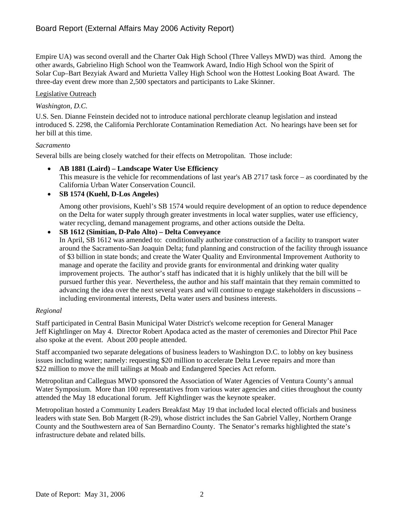Empire UA) was second overall and the Charter Oak High School (Three Valleys MWD) was third. Among the other awards, Gabrielino High School won the Teamwork Award, Indio High School won the Spirit of Solar Cup–Bart Bezyiak Award and Murietta Valley High School won the Hottest Looking Boat Award. The three-day event drew more than 2,500 spectators and participants to Lake Skinner.

### Legislative Outreach

### *Washington, D.C.*

U.S. Sen. Dianne Feinstein decided not to introduce national perchlorate cleanup legislation and instead introduced S. 2298, the California Perchlorate Contamination Remediation Act. No hearings have been set for her bill at this time.

### *Sacramento*

Several bills are being closely watched for their effects on Metropolitan. Those include:

• **AB 1881 (Laird) – Landscape Water Use Efficiency**  This measure is the vehicle for recommendations of last year's AB 2717 task force – as coordinated by the California Urban Water Conservation Council.

### • **SB 1574 (Kuehl, D-Los Angeles)**

Among other provisions, Kuehl's SB 1574 would require development of an option to reduce dependence on the Delta for water supply through greater investments in local water supplies, water use efficiency, water recycling, demand management programs, and other actions outside the Delta.

### • **SB 1612 (Simitian, D-Palo Alto) – Delta Conveyance**

In April, SB 1612 was amended to: conditionally authorize construction of a facility to transport water around the Sacramento-San Joaquin Delta; fund planning and construction of the facility through issuance of \$3 billion in state bonds; and create the Water Quality and Environmental Improvement Authority to manage and operate the facility and provide grants for environmental and drinking water quality improvement projects. The author's staff has indicated that it is highly unlikely that the bill will be pursued further this year. Nevertheless, the author and his staff maintain that they remain committed to advancing the idea over the next several years and will continue to engage stakeholders in discussions – including environmental interests, Delta water users and business interests.

#### *Regional*

Staff participated in Central Basin Municipal Water District's welcome reception for General Manager Jeff Kightlinger on May 4. Director Robert Apodaca acted as the master of ceremonies and Director Phil Pace also spoke at the event. About 200 people attended.

Staff accompanied two separate delegations of business leaders to Washington D.C. to lobby on key business issues including water; namely: requesting \$20 million to accelerate Delta Levee repairs and more than \$22 million to move the mill tailings at Moab and Endangered Species Act reform.

Metropolitan and Calleguas MWD sponsored the Association of Water Agencies of Ventura County's annual Water Symposium. More than 100 representatives from various water agencies and cities throughout the county attended the May 18 educational forum. Jeff Kightlinger was the keynote speaker.

Metropolitan hosted a Community Leaders Breakfast May 19 that included local elected officials and business leaders with state Sen. Bob Margett (R-29), whose district includes the San Gabriel Valley, Northern Orange County and the Southwestern area of San Bernardino County. The Senator's remarks highlighted the state's infrastructure debate and related bills.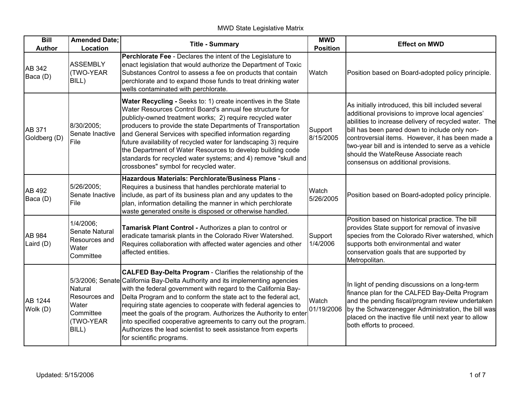| <b>Bill</b><br><b>Author</b> | <b>Amended Date;</b><br>Location                                     | <b>Title - Summary</b>                                                                                                                                                                                                                                                                                                                                                                                                                                                                                                                                                                         | <b>MWD</b><br><b>Position</b> | <b>Effect on MWD</b>                                                                                                                                                                                                                                                                                                                                                                                        |
|------------------------------|----------------------------------------------------------------------|------------------------------------------------------------------------------------------------------------------------------------------------------------------------------------------------------------------------------------------------------------------------------------------------------------------------------------------------------------------------------------------------------------------------------------------------------------------------------------------------------------------------------------------------------------------------------------------------|-------------------------------|-------------------------------------------------------------------------------------------------------------------------------------------------------------------------------------------------------------------------------------------------------------------------------------------------------------------------------------------------------------------------------------------------------------|
| AB 342<br>Baca (D)           | <b>ASSEMBLY</b><br>(TWO-YEAR<br>BILL)                                | Perchlorate Fee - Declares the intent of the Legislature to<br>enact legislation that would authorize the Department of Toxic<br>Substances Control to assess a fee on products that contain<br>perchlorate and to expand those funds to treat drinking water<br>wells contaminated with perchlorate.                                                                                                                                                                                                                                                                                          | Watch                         | Position based on Board-adopted policy principle.                                                                                                                                                                                                                                                                                                                                                           |
| AB 371<br>Goldberg (D)       | 8/30/2005;<br>Senate Inactive<br>File                                | Water Recycling - Seeks to: 1) create incentives in the State<br>Water Resources Control Board's annual fee structure for<br>publicly-owned treatment works; 2) require recycled water<br>producers to provide the state Departments of Transportation<br>and General Services with specified information regarding<br>future availability of recycled water for landscaping 3) require<br>the Department of Water Resources to develop building code<br>standards for recycled water systems; and 4) remove "skull and<br>crossbones" symbol for recycled water.                              | Support<br>8/15/2005          | As initially introduced, this bill included several<br>additional provisions to improve local agencies'<br>abilities to increase delivery of recycled water. The<br>bill has been pared down to include only non-<br>controversial items. However, it has been made a<br>two-year bill and is intended to serve as a vehicle<br>should the WateReuse Associate reach<br>consensus on additional provisions. |
| AB 492<br>Baca (D)           | 5/26/2005;<br>Senate Inactive<br>File                                | Hazardous Materials: Perchlorate/Business Plans -<br>Requires a business that handles perchlorate material to<br>include, as part of its business plan and any updates to the<br>plan, information detailing the manner in which perchlorate<br>waste generated onsite is disposed or otherwise handled.                                                                                                                                                                                                                                                                                       | Watch<br>5/26/2005            | Position based on Board-adopted policy principle.                                                                                                                                                                                                                                                                                                                                                           |
| AB 984<br>Laird (D)          | 1/4/2006;<br>Senate Natural<br>Resources and<br>Water<br>Committee   | Tamarisk Plant Control - Authorizes a plan to control or<br>eradicate tamarisk plants in the Colorado River Watershed.<br>Requires collaboration with affected water agencies and other<br>affected entities.                                                                                                                                                                                                                                                                                                                                                                                  | Support<br>1/4/2006           | Position based on historical practice. The bill<br>provides State support for removal of invasive<br>species from the Colorado River watershed, which<br>supports both environmental and water<br>conservation goals that are supported by<br>Metropolitan.                                                                                                                                                 |
| <b>AB 1244</b><br>Wolk (D)   | Natural<br>Resources and<br>Water<br>Committee<br>(TWO-YEAR<br>BILL) | <b>CALFED Bay-Delta Program - Clarifies the relationship of the</b><br>5/3/2006; Senate California Bay-Delta Authority and its implementing agencies<br>with the federal government with regard to the California Bay-<br>Delta Program and to conform the state act to the federal act,<br>requiring state agencies to cooperate with federal agencies to<br>meet the goals of the program. Authorizes the Authority to enter<br>into specified cooperative agreements to carry out the program.<br>Authorizes the lead scientist to seek assistance from experts<br>for scientific programs. | Watch<br>01/19/2006           | In light of pending discussions on a long-term<br>finance plan for the CALFED Bay-Delta Program<br>and the pending fiscal/program review undertaken<br>by the Schwarzenegger Administration, the bill was<br>placed on the inactive file until next year to allow<br>both efforts to proceed.                                                                                                               |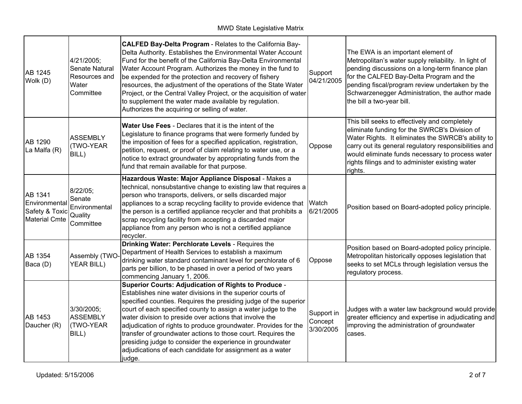| <b>AB 1245</b><br>Wolk (D)                                         | 4/21/2005;<br>Senate Natural<br>Resources and<br>Water<br>Committee | CALFED Bay-Delta Program - Relates to the California Bay-<br>Delta Authority. Establishes the Environmental Water Account<br>Fund for the benefit of the California Bay-Delta Environmental<br>Water Account Program. Authorizes the money in the fund to<br>be expended for the protection and recovery of fishery<br>resources, the adjustment of the operations of the State Water<br>Project, or the Central Valley Project, or the acquisition of water<br>to supplement the water made available by regulation.<br>Authorizes the acquiring or selling of water.                           | Support<br>04/21/2005              | The EWA is an important element of<br>Metropolitan's water supply reliability. In light of<br>pending discussions on a long-term finance plan<br>for the CALFED Bay-Delta Program and the<br>pending fiscal/program review undertaken by the<br>Schwarzenegger Administration, the author made<br>the bill a two-year bill.     |
|--------------------------------------------------------------------|---------------------------------------------------------------------|--------------------------------------------------------------------------------------------------------------------------------------------------------------------------------------------------------------------------------------------------------------------------------------------------------------------------------------------------------------------------------------------------------------------------------------------------------------------------------------------------------------------------------------------------------------------------------------------------|------------------------------------|---------------------------------------------------------------------------------------------------------------------------------------------------------------------------------------------------------------------------------------------------------------------------------------------------------------------------------|
| AB 1290<br>La Malfa (R)                                            | <b>ASSEMBLY</b><br>(TWO-YEAR<br>BILL)                               | Water Use Fees - Declares that it is the intent of the<br>Legislature to finance programs that were formerly funded by<br>the imposition of fees for a specified application, registration,<br>petition, request, or proof of claim relating to water use, or a<br>notice to extract groundwater by appropriating funds from the<br>fund that remain available for that purpose.                                                                                                                                                                                                                 | Oppose                             | This bill seeks to effectively and completely<br>eliminate funding for the SWRCB's Division of<br>Water Rights. It eliminates the SWRCB's ability to<br>carry out its general regulatory responsibilities and<br>would eliminate funds necessary to process water<br>rights filings and to administer existing water<br>rights. |
| AB 1341<br>Environmental<br>Safety & Toxic<br><b>Material Cmte</b> | 8/22/05;<br>Senate<br>Environmental<br>Quality<br>Committee         | Hazardous Waste: Major Appliance Disposal - Makes a<br>technical, nonsubstantive change to existing law that requires a<br>person who transports, delivers, or sells discarded major<br>appliances to a scrap recycling facility to provide evidence that Watch<br>the person is a certified appliance recycler and that prohibits a<br>scrap recycling facility from accepting a discarded major<br>appliance from any person who is not a certified appliance<br>recycler.                                                                                                                     | 6/21/2005                          | Position based on Board-adopted policy principle.                                                                                                                                                                                                                                                                               |
| <b>AB 1354</b><br>Baca (D)                                         | Assembly (TWO-<br><b>YEAR BILL)</b>                                 | Drinking Water: Perchlorate Levels - Requires the<br>Department of Health Services to establish a maximum<br>drinking water standard contaminant level for perchlorate of 6<br>parts per billion, to be phased in over a period of two years<br>commencing January 1, 2006.                                                                                                                                                                                                                                                                                                                      | Oppose                             | Position based on Board-adopted policy principle.<br>Metropolitan historically opposes legislation that<br>seeks to set MCLs through legislation versus the<br>regulatory process.                                                                                                                                              |
| AB 1453<br>Daucher (R)                                             | 3/30/2005;<br><b>ASSEMBLY</b><br>(TWO-YEAR<br>BILL)                 | <b>Superior Courts: Adjudication of Rights to Produce -</b><br>Establishes nine water divisions in the superior courts of<br>specified counties. Requires the presiding judge of the superior<br>court of each specified county to assign a water judge to the<br>water division to preside over actions that involve the<br>adjudication of rights to produce groundwater. Provides for the<br>transfer of groundwater actions to those court. Requires the<br>presiding judge to consider the experience in groundwater<br>adjudications of each candidate for assignment as a water<br>judge. | Support in<br>Concept<br>3/30/2005 | Judges with a water law background would provide<br>greater efficiency and expertise in adjudicating and<br>improving the administration of groundwater<br>cases.                                                                                                                                                               |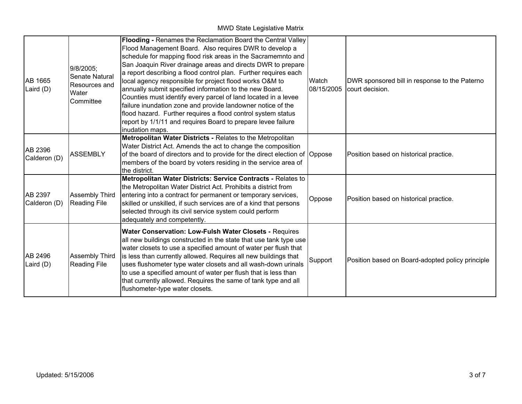| AB 1665<br>Laird $(D)$  | 9/8/2005;<br>Senate Natural<br>Resources and<br>Water<br>Committee | Flooding - Renames the Reclamation Board the Central Valley<br>Flood Management Board. Also requires DWR to develop a<br>schedule for mapping flood risk areas in the Sacramemnto and<br>San Joaquin River drainage areas and directs DWR to prepare<br>a report describing a flood control plan. Further requires each<br>local agency responsible for project flood works O&M to<br>annually submit specified information to the new Board.<br>Counties must identify every parcel of land located in a levee<br>failure inundation zone and provide landowner notice of the<br>flood hazard. Further requires a flood control system status<br>report by 1/1/11 and requires Board to prepare levee failure<br>inudation maps. | Watch<br>08/15/2005 | DWR sponsored bill in response to the Paterno<br>court decision. |
|-------------------------|--------------------------------------------------------------------|-----------------------------------------------------------------------------------------------------------------------------------------------------------------------------------------------------------------------------------------------------------------------------------------------------------------------------------------------------------------------------------------------------------------------------------------------------------------------------------------------------------------------------------------------------------------------------------------------------------------------------------------------------------------------------------------------------------------------------------|---------------------|------------------------------------------------------------------|
| AB 2396<br>Calderon (D) | <b>ASSEMBLY</b>                                                    | Metropolitan Water Districts - Relates to the Metropolitan<br>Water District Act. Amends the act to change the composition<br>of the board of directors and to provide for the direct election of Oppose<br>members of the board by voters residing in the service area of<br>the district.                                                                                                                                                                                                                                                                                                                                                                                                                                       |                     | Position based on historical practice.                           |
| AB 2397<br>Calderon (D) | <b>Assembly Third</b><br><b>Reading File</b>                       | Metropolitan Water Districts: Service Contracts - Relates to<br>the Metropolitan Water District Act. Prohibits a district from<br>entering into a contract for permanent or temporary services,<br>skilled or unskilled, if such services are of a kind that persons<br>selected through its civil service system could perform<br>adequately and competently.                                                                                                                                                                                                                                                                                                                                                                    | Oppose              | Position based on historical practice.                           |
| AB 2496<br>Laird $(D)$  | <b>Assembly Third</b><br><b>Reading File</b>                       | Water Conservation: Low-Fulsh Water Closets - Requires<br>all new buildings constructed in the state that use tank type use<br>water closets to use a specified amount of water per flush that<br>is less than currently allowed. Requires all new buildings that<br>uses flushometer type water closets and all wash-down urinals<br>to use a specified amount of water per flush that is less than<br>that currently allowed. Requires the same of tank type and all<br>flushometer-type water closets.                                                                                                                                                                                                                         | Support             | Position based on Board-adopted policy principle                 |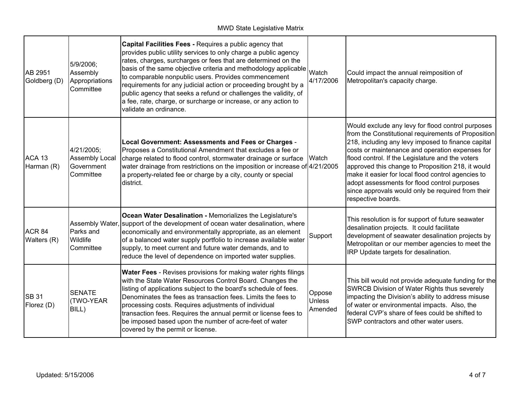| AB 2951<br>Goldberg (D)          | 5/9/2006;<br>Assembly<br>Appropriations<br>Committee           | Capital Facilities Fees - Requires a public agency that<br>provides public utility services to only charge a public agency<br>rates, charges, surcharges or fees that are determined on the<br>basis of the same objective criteria and methodology applicable<br>to comparable nonpublic users. Provides commencement<br>requirements for any judicial action or proceeding brought by a<br>public agency that seeks a refund or challenges the validity, of<br>a fee, rate, charge, or surcharge or increase, or any action to<br>validate an ordinance. | Watch<br>4/17/2006                 | Could impact the annual reimposition of<br>Metropolitan's capacity charge.                                                                                                                                                                                                                                                                                                                                                                                                                                  |
|----------------------------------|----------------------------------------------------------------|------------------------------------------------------------------------------------------------------------------------------------------------------------------------------------------------------------------------------------------------------------------------------------------------------------------------------------------------------------------------------------------------------------------------------------------------------------------------------------------------------------------------------------------------------------|------------------------------------|-------------------------------------------------------------------------------------------------------------------------------------------------------------------------------------------------------------------------------------------------------------------------------------------------------------------------------------------------------------------------------------------------------------------------------------------------------------------------------------------------------------|
| ACA 13<br>Harman (R)             | 4/21/2005;<br><b>Assembly Local</b><br>Government<br>Committee | Local Government: Assessments and Fees or Charges -<br>Proposes a Constitutional Amendment that excludes a fee or<br>charge related to flood control, stormwater drainage or surface<br>water drainage from restrictions on the imposition or increase of 4/21/2005<br>a property-related fee or charge by a city, county or special<br>district.                                                                                                                                                                                                          | Watch                              | Would exclude any levy for flood control purposes<br>from the Constitutional requirements of Proposition<br>218, including any levy imposed to finance capital<br>costs or maintenance and operation expenses for<br>flood control. If the Legislature and the voters<br>approved this change to Proposition 218, it would<br>make it easier for local flood control agencies to<br>adopt assessments for flood control purposes<br>since approvals would only be required from their<br>respective boards. |
| ACR <sub>84</sub><br>Walters (R) | Assembly Water,<br>Parks and<br>Wildlife<br><b>Committee</b>   | Ocean Water Desalination - Memorializes the Legislature's<br>support of the development of ocean water desalination, where<br>economically and environmentally appropriate, as an element<br>of a balanced water supply portfolio to increase available water<br>supply, to meet current and future water demands, and to<br>reduce the level of dependence on imported water supplies.                                                                                                                                                                    | Support                            | This resolution is for support of future seawater<br>desalination projects. It could facilitate<br>development of seawater desalination projects by<br>Metropolitan or our member agencies to meet the<br>IRP Update targets for desalination.                                                                                                                                                                                                                                                              |
| <b>SB 31</b><br>Florez (D)       | <b>SENATE</b><br>(TWO-YEAR<br>BILL)                            | Water Fees - Revises provisions for making water rights filings<br>with the State Water Resources Control Board. Changes the<br>listing of applications subject to the board's schedule of fees.<br>Denominates the fees as transaction fees. Limits the fees to<br>processing costs. Requires adjustments of individual<br>transaction fees. Requires the annual permit or license fees to<br>be imposed based upon the number of acre-feet of water<br>covered by the permit or license.                                                                 | Oppose<br><b>Unless</b><br>Amended | This bill would not provide adequate funding for the<br>SWRCB Division of Water Rights thus severely<br>impacting the Division's ability to address misuse<br>of water or environmental impacts. Also, the<br>federal CVP's share of fees could be shifted to<br>SWP contractors and other water users.                                                                                                                                                                                                     |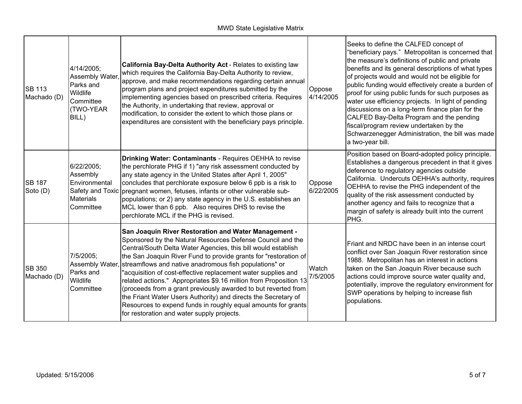| <b>SB 113</b><br>Machado (D) | 4/14/2005;<br>Assembly Water,<br>Parks and<br>Wildlife<br>Committee<br><b>TWO-YEAR</b><br>BILL) | California Bay-Delta Authority Act - Relates to existing law<br>which requires the California Bay-Delta Authority to review,<br>approve, and make recommendations regarding certain annual<br>program plans and project expenditures submitted by the<br>implementing agencies based on prescribed criteria. Requires<br>the Authority, in undertaking that review, approval or<br>modification, to consider the extent to which those plans or<br>expenditures are consistent with the beneficiary pays principle.                                                                                                                                                                                               | Oppose<br>4/14/2005 | Seeks to define the CALFED concept of<br>"beneficiary pays." Metropolitan is concerned that<br>the measure's definitions of public and private<br>benefits and its general descriptions of what types<br>of projects would and would not be eligible for<br>public funding would effectively create a burden of<br>proof for using public funds for such purposes as<br>water use efficiency projects. In light of pending<br>discussions on a long-term finance plan for the<br>CALFED Bay-Delta Program and the pending<br>fiscal/program review undertaken by the<br>Schwarzenegger Administration, the bill was made<br>a two-year bill. |
|------------------------------|-------------------------------------------------------------------------------------------------|-------------------------------------------------------------------------------------------------------------------------------------------------------------------------------------------------------------------------------------------------------------------------------------------------------------------------------------------------------------------------------------------------------------------------------------------------------------------------------------------------------------------------------------------------------------------------------------------------------------------------------------------------------------------------------------------------------------------|---------------------|----------------------------------------------------------------------------------------------------------------------------------------------------------------------------------------------------------------------------------------------------------------------------------------------------------------------------------------------------------------------------------------------------------------------------------------------------------------------------------------------------------------------------------------------------------------------------------------------------------------------------------------------|
| <b>SB 187</b><br>Soto (D)    | 6/22/2005;<br>Assembly<br>Environmental<br><b>Materials</b><br>Committee                        | Drinking Water: Contaminants - Requires OEHHA to revise<br>the perchlorate PHG if 1) "any risk assessment conducted by<br>any state agency in the United States after April 1, 2005"<br>concludes that perchlorate exposure below 6 ppb is a risk to<br>Safety and Toxic pregnant women, fetuses, infants or other vulnerable sub-<br>populations; or 2) any state agency in the U.S. establishes an<br>MCL lower than 6 ppb. Also requires DHS to revise the<br>perchlorate MCL if the PHG is revised.                                                                                                                                                                                                           | Oppose<br>6/22/2005 | Position based on Board-adopted policy principle.<br>Establishes a dangerous precedent in that it gives<br>deference to regulatory agencies outside<br>California. Undercuts OEHHA's authority, requires<br>OEHHA to revise the PHG independent of the<br>quality of the risk assessment conducted by<br>another agency and fails to recognize that a<br>margin of safety is already built into the current<br>PHG.                                                                                                                                                                                                                          |
| <b>SB 350</b><br>Machado (D) | 7/5/2005;<br>Assembly Water,<br>Parks and<br>Wildlife<br>Committee                              | <b>San Joaquin River Restoration and Water Management -</b><br>Sponsored by the Natural Resources Defense Council and the<br>Central/South Delta Water Agencies, this bill would establish<br>the San Joaquin River Fund to provide grants for "restoration of<br>streamflows and native anadromous fish populations" or<br>"acquisition of cost-effective replacement water supplies and<br>related actions." Appropriates \$9.16 million from Proposition 13<br>(proceeds from a grant previously awarded to but reverted from<br>the Friant Water Users Authority) and directs the Secretary of<br>Resources to expend funds in roughly equal amounts for grants<br>for restoration and water supply projects. | Watch<br>7/5/2005   | Friant and NRDC have been in an intense court<br>conflict over San Joaquin River restoration since<br>1988. Metropolitan has an interest in actions<br>taken on the San Joaquin River because such<br>actions could improve source water quality and,<br>potentially, improve the regulatory environment for<br>SWP operations by helping to increase fish<br>populations.                                                                                                                                                                                                                                                                   |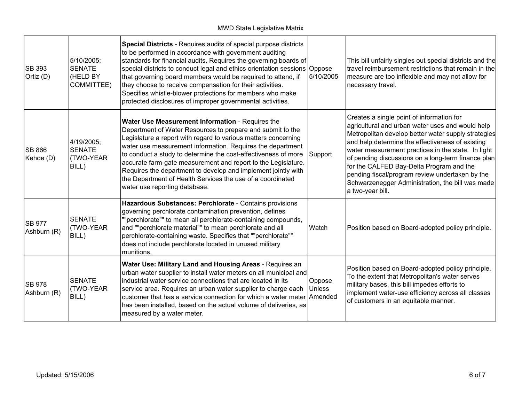| <b>SB 393</b><br>Ortiz (D)   | 5/10/2005;<br><b>SENATE</b><br>(HELD BY<br>COMMITTEE) | Special Districts - Requires audits of special purpose districts<br>to be performed in accordance with government auditing<br>standards for financial audits. Requires the governing boards of<br>special districts to conduct legal and ethics orientation sessions Oppose<br>that governing board members would be required to attend, if<br>they choose to receive compensation for their activities.<br>Specifies whistle-blower protections for members who make<br>protected disclosures of improper governmental activities.               | 5/10/2005               | This bill unfairly singles out special districts and the<br>travel reimbursement restrictions that remain in the<br>measure are too inflexible and may not allow for<br>necessary travel.                                                                                                                                                                                                                                                                                                   |
|------------------------------|-------------------------------------------------------|---------------------------------------------------------------------------------------------------------------------------------------------------------------------------------------------------------------------------------------------------------------------------------------------------------------------------------------------------------------------------------------------------------------------------------------------------------------------------------------------------------------------------------------------------|-------------------------|---------------------------------------------------------------------------------------------------------------------------------------------------------------------------------------------------------------------------------------------------------------------------------------------------------------------------------------------------------------------------------------------------------------------------------------------------------------------------------------------|
| <b>SB 866</b><br>Kehoe (D)   | 4/19/2005;<br><b>SENATE</b><br>(TWO-YEAR<br>BILL)     | Water Use Measurement Information - Requires the<br>Department of Water Resources to prepare and submit to the<br>Legislature a report with regard to various matters concerning<br>water use measurement information. Requires the department<br>to conduct a study to determine the cost-effectiveness of more<br>accurate farm-gate measurement and report to the Legislature.<br>Requires the department to develop and implement jointly with<br>the Department of Health Services the use of a coordinated<br>water use reporting database. | Support                 | Creates a single point of information for<br>agricultural and urban water uses and would help<br>Metropolitan develop better water supply strategies<br>and help determine the effectiveness of existing<br>water measurement practices in the state. In light<br>of pending discussions on a long-term finance plan<br>for the CALFED Bay-Delta Program and the<br>pending fiscal/program review undertaken by the<br>Schwarzenegger Administration, the bill was made<br>a two-year bill. |
| <b>SB 977</b><br>Ashburn (R) | <b>SENATE</b><br>(TWO-YEAR<br>BILL)                   | Hazardous Substances: Perchlorate - Contains provisions<br>governing perchlorate contamination prevention, defines<br>""perchlorate"" to mean all perchlorate-containing compounds,<br>and ""perchlorate material"" to mean perchlorate and all<br>perchlorate-containing waste. Specifies that ""perchlorate""<br>does not include perchlorate located in unused military<br>munitions.                                                                                                                                                          | Watch                   | Position based on Board-adopted policy principle.                                                                                                                                                                                                                                                                                                                                                                                                                                           |
| <b>SB 978</b><br>Ashburn (R) | <b>SENATE</b><br>(TWO-YEAR<br>BILL)                   | Water Use: Military Land and Housing Areas - Requires an<br>urban water supplier to install water meters on all municipal and<br>industrial water service connections that are located in its<br>service area. Requires an urban water supplier to charge each<br>customer that has a service connection for which a water meter Amended<br>has been installed, based on the actual volume of deliveries, as<br>measured by a water meter.                                                                                                        | Oppose<br><b>Unless</b> | Position based on Board-adopted policy principle.<br>To the extent that Metropolitan's water serves<br>military bases, this bill impedes efforts to<br>implement water-use efficiency across all classes<br>of customers in an equitable manner.                                                                                                                                                                                                                                            |